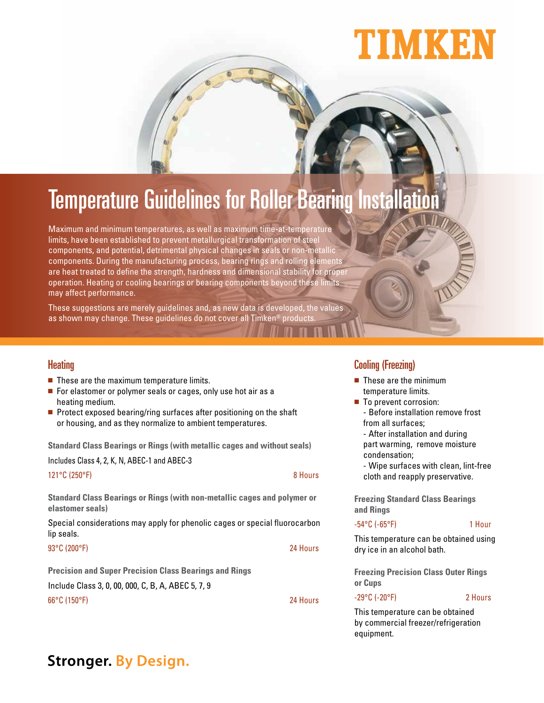# NMKBI

## **Temperature Guidelines for Roller Bearing Installati**

Maximum and minimum temperatures, as well as maximum time-at-temperature limits, have been established to prevent metallurgical transformation of steel components, and potential, detrimental physical changes in seals or non-metallic components. During the manufacturing process, bearing rings and rolling elements are heat treated to define the strength, hardness and dimensional stability for proper operation. Heating or cooling bearings or bearing components beyond these limits may affect performance.

These suggestions are merely guidelines and, as new data is developed, the values as shown may change. These guidelines do not cover all Timken® product:

## **Heating**

- $\blacksquare$  These are the maximum temperature limits.
- For elastomer or polymer seals or cages, only use hot air as a heating medium.
- $\blacksquare$  Protect exposed bearing/ring surfaces after positioning on the shaft or housing, and as they normalize to ambient temperatures.

**Standard Class Bearings or Rings (with metallic cages and without seals)**

Includes Class 4, 2, K, N, ABEC-1 and ABEC-3

121°C (250°F) 8 Hours

**Standard Class Bearings or Rings (with non-metallic cages and polymer or elastomer seals)**

Special considerations may apply for phenolic cages or special fluorocarbon lip seals.

93 ° C (200 ° F) 24 Hours

**Precision and Super Precision Class Bearings and Rings**

Include Class 3, 0, 00, 000, C, B, A, ABEC 5, 7, 9

66°C (150°F) 24 Hours

## Cooling (Freezing)

- $\blacksquare$  These are the minimum temperature limits.
- To prevent corrosion: - Before installation remove frost from all surfaces;

 - After installation and during part warming, remove moisture condensation;

 - Wipe surfaces with clean, lint-free cloth and reapply preservative.

**Freezing Standard Class Bearings and Rings**

## -54°C (-65°F) 1 Hour

This temperature can be obtained using dry ice in an alcohol bath.

**Freezing Precision Class Outer Rings or Cups**

### -29°C (-20°F) 2 Hours

This temperature can be obtained by commercial freezer/refrigeration equipment.

## **Stronger. By Design.**